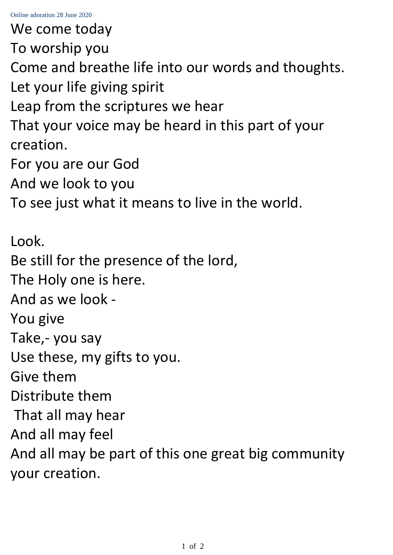We come today To worship you Come and breathe life into our words and thoughts. Let your life giving spirit Leap from the scriptures we hear That your voice may be heard in this part of your creation. For you are our God And we look to you To see just what it means to live in the world. Look. Be still for the presence of the lord, The Holy one is here. And as we look - You give Take,- you say Use these, my gifts to you. Give them Distribute them That all may hear And all may feel And all may be part of this one great big community your creation.